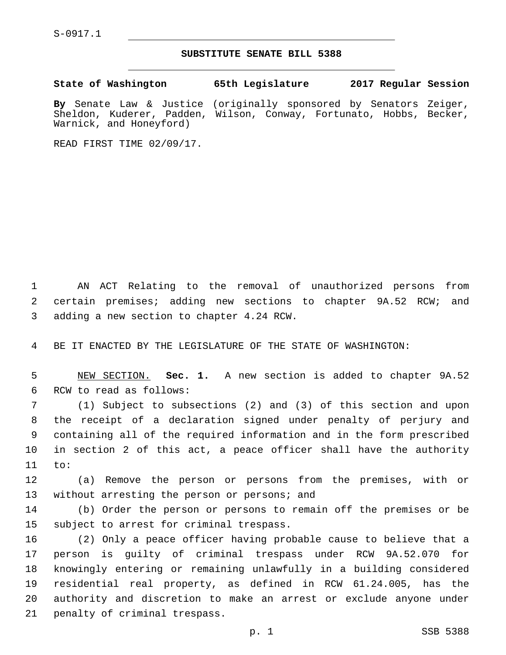S-0917.1

## **SUBSTITUTE SENATE BILL 5388**

**State of Washington 65th Legislature 2017 Regular Session By** Senate Law & Justice (originally sponsored by Senators Zeiger, Sheldon, Kuderer, Padden, Wilson, Conway, Fortunato, Hobbs, Becker, Warnick, and Honeyford)

READ FIRST TIME 02/09/17.

1 AN ACT Relating to the removal of unauthorized persons from 2 certain premises; adding new sections to chapter 9A.52 RCW; and 3 adding a new section to chapter 4.24 RCW.

4 BE IT ENACTED BY THE LEGISLATURE OF THE STATE OF WASHINGTON:

5 NEW SECTION. **Sec. 1.** A new section is added to chapter 9A.52 6 RCW to read as follows:

 (1) Subject to subsections (2) and (3) of this section and upon the receipt of a declaration signed under penalty of perjury and containing all of the required information and in the form prescribed in section 2 of this act, a peace officer shall have the authority 11 to:

12 (a) Remove the person or persons from the premises, with or 13 without arresting the person or persons; and

14 (b) Order the person or persons to remain off the premises or be 15 subject to arrest for criminal trespass.

 (2) Only a peace officer having probable cause to believe that a person is guilty of criminal trespass under RCW 9A.52.070 for knowingly entering or remaining unlawfully in a building considered residential real property, as defined in RCW 61.24.005, has the authority and discretion to make an arrest or exclude anyone under 21 penalty of criminal trespass.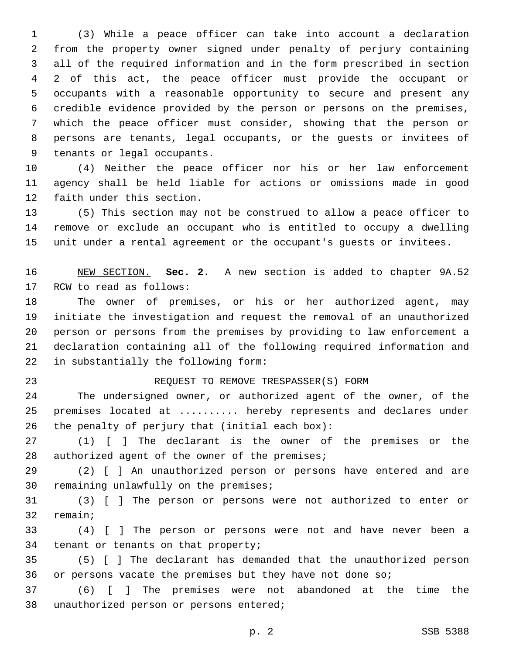(3) While a peace officer can take into account a declaration from the property owner signed under penalty of perjury containing all of the required information and in the form prescribed in section 2 of this act, the peace officer must provide the occupant or occupants with a reasonable opportunity to secure and present any credible evidence provided by the person or persons on the premises, which the peace officer must consider, showing that the person or persons are tenants, legal occupants, or the guests or invitees of 9 tenants or legal occupants.

 (4) Neither the peace officer nor his or her law enforcement agency shall be held liable for actions or omissions made in good 12 faith under this section.

 (5) This section may not be construed to allow a peace officer to remove or exclude an occupant who is entitled to occupy a dwelling unit under a rental agreement or the occupant's guests or invitees.

 NEW SECTION. **Sec. 2.** A new section is added to chapter 9A.52 17 RCW to read as follows:

 The owner of premises, or his or her authorized agent, may initiate the investigation and request the removal of an unauthorized person or persons from the premises by providing to law enforcement a declaration containing all of the following required information and 22 in substantially the following form:

## REQUEST TO REMOVE TRESPASSER(S) FORM

 The undersigned owner, or authorized agent of the owner, of the premises located at .......... hereby represents and declares under 26 the penalty of perjury that (initial each box):

 (1) [ ] The declarant is the owner of the premises or the 28 authorized agent of the owner of the premises;

 (2) [ ] An unauthorized person or persons have entered and are 30 remaining unlawfully on the premises;

 (3) [ ] The person or persons were not authorized to enter or 32 remain;

 (4) [ ] The person or persons were not and have never been a 34 tenant or tenants on that property;

 (5) [ ] The declarant has demanded that the unauthorized person 36 or persons vacate the premises but they have not done so;

 (6) [ ] The premises were not abandoned at the time the 38 unauthorized person or persons entered;